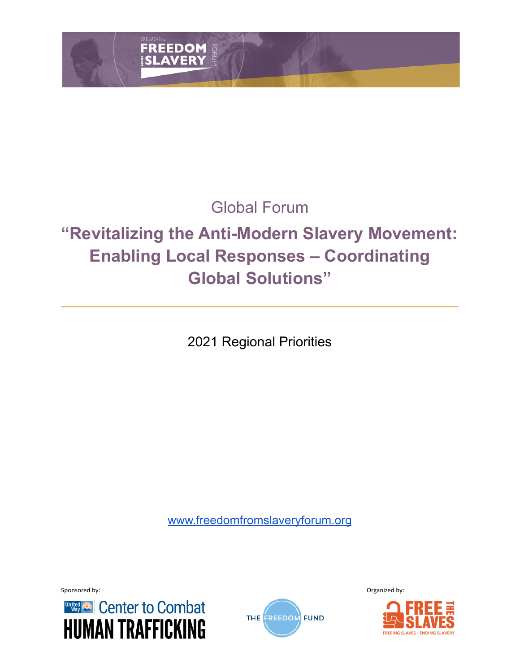

# Global Forum

# **"Revitalizing the Anti-Modern Slavery Movement: Enabling Local Responses – Coordinating Global Solutions"**

2021 Regional Priorities

[www.freedomfromslaveryforum.org](http://www.freedomfromslaveryforum.org)





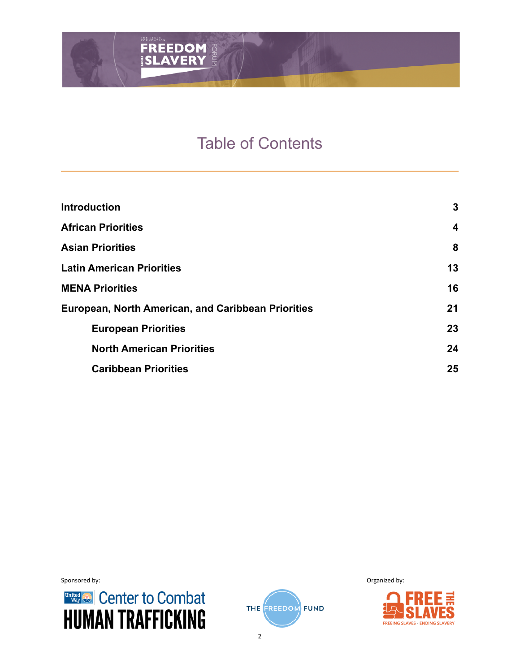# Table of Contents

| <b>Introduction</b>                                | 3                |
|----------------------------------------------------|------------------|
| <b>African Priorities</b>                          | $\boldsymbol{4}$ |
| <b>Asian Priorities</b>                            | 8                |
| <b>Latin American Priorities</b>                   | 13               |
| <b>MENA Priorities</b>                             | 16               |
| European, North American, and Caribbean Priorities | 21               |
| <b>European Priorities</b>                         | 23               |
| <b>North American Priorities</b>                   | 24               |
| <b>Caribbean Priorities</b>                        | 25               |





Sponsored by: **Organized by: Organized by: Organized by: Organized by: Organized by: Organized by: Organized by: Organized by: Organized by: Organized by: Organized by: Organized by: Organized by:**

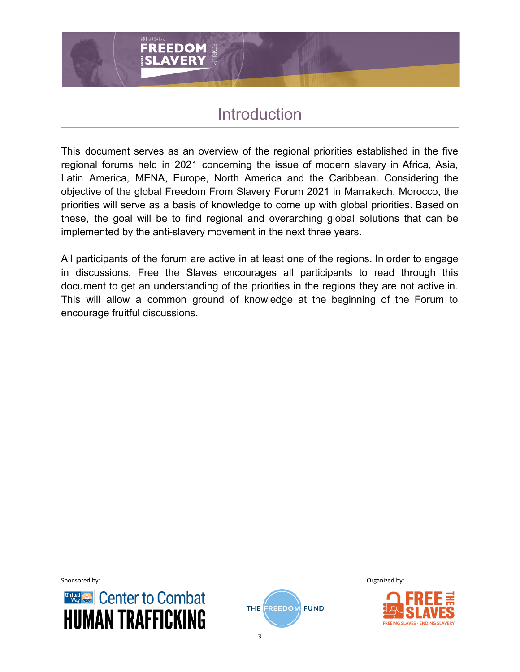# Introduction

This document serves as an overview of the regional priorities established in the five regional forums held in 2021 concerning the issue of modern slavery in Africa, Asia, Latin America, MENA, Europe, North America and the Caribbean. Considering the objective of the global Freedom From Slavery Forum 2021 in Marrakech, Morocco, the priorities will serve as a basis of knowledge to come up with global priorities. Based on these, the goal will be to find regional and overarching global solutions that can be implemented by the anti-slavery movement in the next three years.

All participants of the forum are active in at least one of the regions. In order to engage in discussions, Free the Slaves encourages all participants to read through this document to get an understanding of the priorities in the regions they are not active in. This will allow a common ground of knowledge at the beginning of the Forum to encourage fruitful discussions.





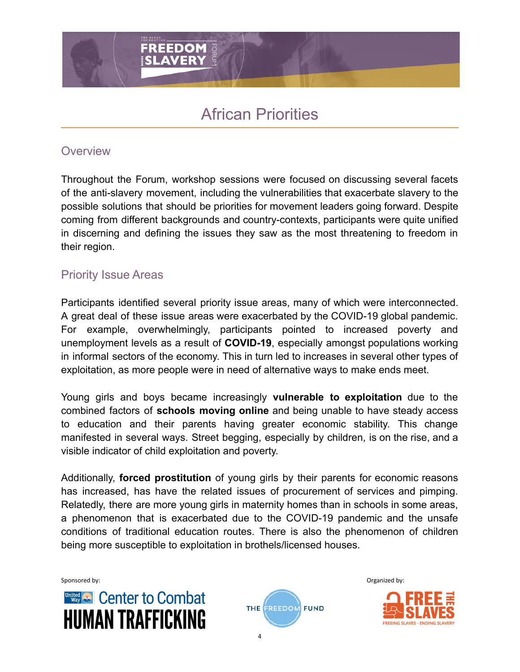# African Priorities

#### **Overview**

Throughout the Forum, workshop sessions were focused on discussing several facets of the anti-slavery movement, including the vulnerabilities that exacerbate slavery to the possible solutions that should be priorities for movement leaders going forward. Despite coming from different backgrounds and country-contexts, participants were quite unified in discerning and defining the issues they saw as the most threatening to freedom in their region.

# Priority Issue Areas

Participants identified several priority issue areas, many of which were interconnected. A great deal of these issue areas were exacerbated by the COVID-19 global pandemic. For example, overwhelmingly, participants pointed to increased poverty and unemployment levels as a result of **COVID-19**, especially amongst populations working in informal sectors of the economy. This in turn led to increases in several other types of exploitation, as more people were in need of alternative ways to make ends meet.

Young girls and boys became increasingly **vulnerable to exploitation** due to the combined factors of **schools moving online** and being unable to have steady access to education and their parents having greater economic stability. This change manifested in several ways. Street begging, especially by children, is on the rise, and a visible indicator of child exploitation and poverty.

Additionally, **forced prostitution** of young girls by their parents for economic reasons has increased, has have the related issues of procurement of services and pimping. Relatedly, there are more young girls in maternity homes than in schools in some areas, a phenomenon that is exacerbated due to the COVID-19 pandemic and the unsafe conditions of traditional education routes. There is also the phenomenon of children being more susceptible to exploitation in brothels/licensed houses.





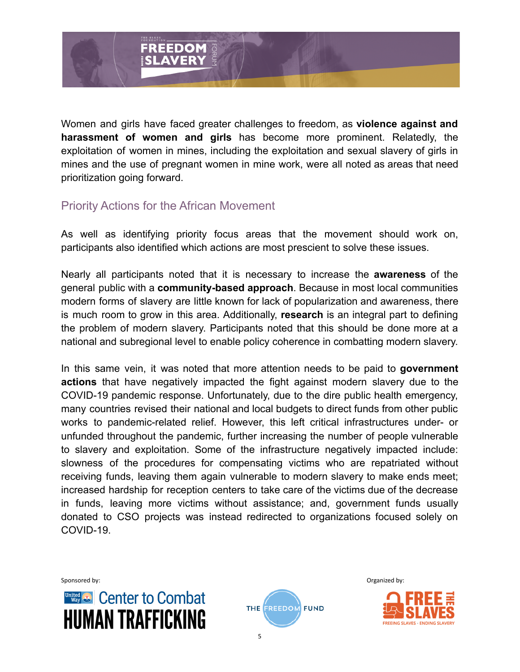

Women and girls have faced greater challenges to freedom, as **violence against and harassment of women and girls** has become more prominent. Relatedly, the exploitation of women in mines, including the exploitation and sexual slavery of girls in mines and the use of pregnant women in mine work, were all noted as areas that need prioritization going forward.

#### Priority Actions for the African Movement

As well as identifying priority focus areas that the movement should work on, participants also identified which actions are most prescient to solve these issues.

Nearly all participants noted that it is necessary to increase the **awareness** of the general public with a **community-based approach**. Because in most local communities modern forms of slavery are little known for lack of popularization and awareness, there is much room to grow in this area. Additionally, **research** is an integral part to defining the problem of modern slavery. Participants noted that this should be done more at a national and subregional level to enable policy coherence in combatting modern slavery.

In this same vein, it was noted that more attention needs to be paid to **government actions** that have negatively impacted the fight against modern slavery due to the COVID-19 pandemic response. Unfortunately, due to the dire public health emergency, many countries revised their national and local budgets to direct funds from other public works to pandemic-related relief. However, this left critical infrastructures under- or unfunded throughout the pandemic, further increasing the number of people vulnerable to slavery and exploitation. Some of the infrastructure negatively impacted include: slowness of the procedures for compensating victims who are repatriated without receiving funds, leaving them again vulnerable to modern slavery to make ends meet; increased hardship for reception centers to take care of the victims due of the decrease in funds, leaving more victims without assistance; and, government funds usually donated to CSO projects was instead redirected to organizations focused solely on COVID-19.





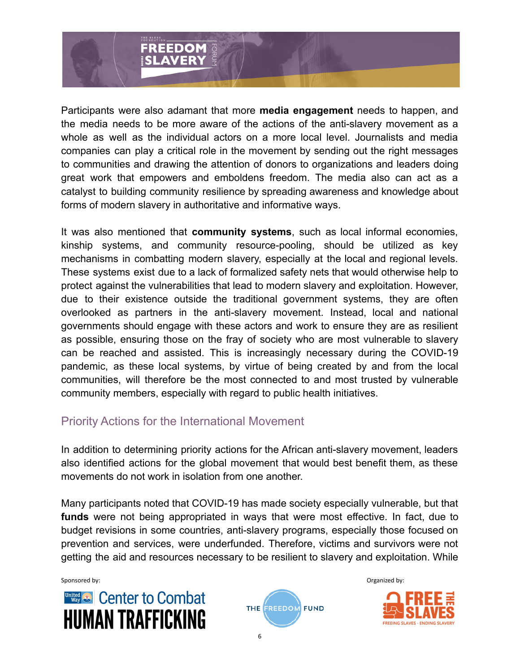

Participants were also adamant that more **media engagement** needs to happen, and the media needs to be more aware of the actions of the anti-slavery movement as a whole as well as the individual actors on a more local level. Journalists and media companies can play a critical role in the movement by sending out the right messages to communities and drawing the attention of donors to organizations and leaders doing great work that empowers and emboldens freedom. The media also can act as a catalyst to building community resilience by spreading awareness and knowledge about forms of modern slavery in authoritative and informative ways.

It was also mentioned that **community systems**, such as local informal economies, kinship systems, and community resource-pooling, should be utilized as key mechanisms in combatting modern slavery, especially at the local and regional levels. These systems exist due to a lack of formalized safety nets that would otherwise help to protect against the vulnerabilities that lead to modern slavery and exploitation. However, due to their existence outside the traditional government systems, they are often overlooked as partners in the anti-slavery movement. Instead, local and national governments should engage with these actors and work to ensure they are as resilient as possible, ensuring those on the fray of society who are most vulnerable to slavery can be reached and assisted. This is increasingly necessary during the COVID-19 pandemic, as these local systems, by virtue of being created by and from the local communities, will therefore be the most connected to and most trusted by vulnerable community members, especially with regard to public health initiatives.

#### Priority Actions for the International Movement

In addition to determining priority actions for the African anti-slavery movement, leaders also identified actions for the global movement that would best benefit them, as these movements do not work in isolation from one another.

Many participants noted that COVID-19 has made society especially vulnerable, but that **funds** were not being appropriated in ways that were most effective. In fact, due to budget revisions in some countries, anti-slavery programs, especially those focused on prevention and services, were underfunded. Therefore, victims and survivors were not getting the aid and resources necessary to be resilient to slavery and exploitation. While





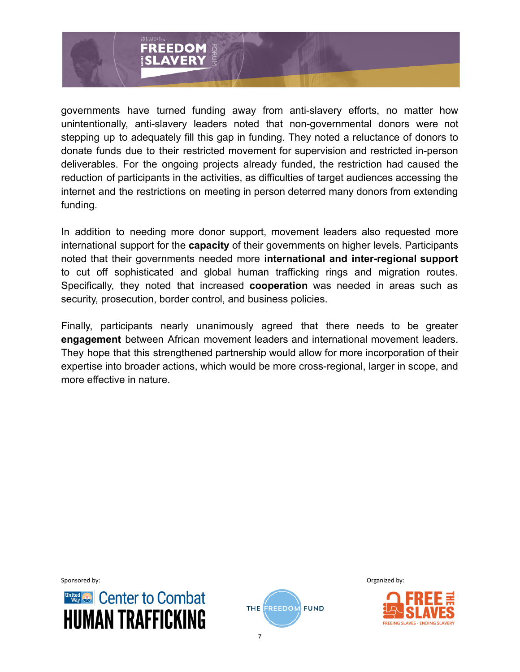

governments have turned funding away from anti-slavery efforts, no matter how unintentionally, anti-slavery leaders noted that non-governmental donors were not stepping up to adequately fill this gap in funding. They noted a reluctance of donors to donate funds due to their restricted movement for supervision and restricted in-person deliverables. For the ongoing projects already funded, the restriction had caused the reduction of participants in the activities, as difficulties of target audiences accessing the internet and the restrictions on meeting in person deterred many donors from extending funding.

In addition to needing more donor support, movement leaders also requested more international support for the **capacity** of their governments on higher levels. Participants noted that their governments needed more **international and inter-regional support** to cut off sophisticated and global human trafficking rings and migration routes. Specifically, they noted that increased **cooperation** was needed in areas such as security, prosecution, border control, and business policies.

Finally, participants nearly unanimously agreed that there needs to be greater **engagement** between African movement leaders and international movement leaders. They hope that this strengthened partnership would allow for more incorporation of their expertise into broader actions, which would be more cross-regional, larger in scope, and more effective in nature.





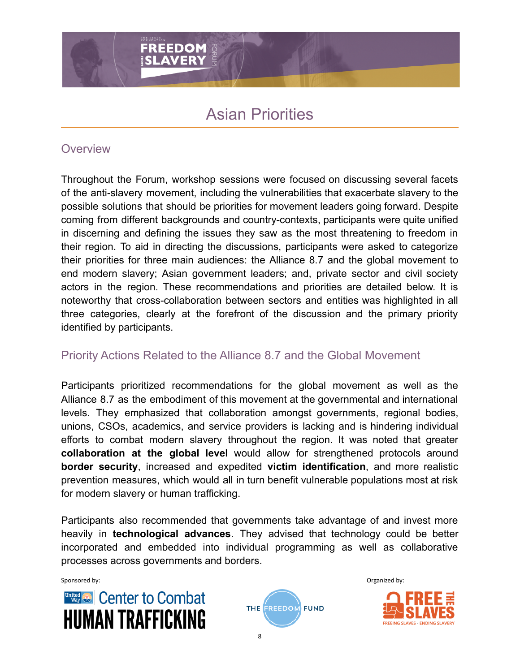# Asian Priorities

#### **Overview**

Throughout the Forum, workshop sessions were focused on discussing several facets of the anti-slavery movement, including the vulnerabilities that exacerbate slavery to the possible solutions that should be priorities for movement leaders going forward. Despite coming from different backgrounds and country-contexts, participants were quite unified in discerning and defining the issues they saw as the most threatening to freedom in their region. To aid in directing the discussions, participants were asked to categorize their priorities for three main audiences: the Alliance 8.7 and the global movement to end modern slavery; Asian government leaders; and, private sector and civil society actors in the region. These recommendations and priorities are detailed below. It is noteworthy that cross-collaboration between sectors and entities was highlighted in all three categories, clearly at the forefront of the discussion and the primary priority identified by participants.

# Priority Actions Related to the Alliance 8.7 and the Global Movement

Participants prioritized recommendations for the global movement as well as the Alliance 8.7 as the embodiment of this movement at the governmental and international levels. They emphasized that collaboration amongst governments, regional bodies, unions, CSOs, academics, and service providers is lacking and is hindering individual efforts to combat modern slavery throughout the region. It was noted that greater **collaboration at the global level** would allow for strengthened protocols around **border security**, increased and expedited **victim identification**, and more realistic prevention measures, which would all in turn benefit vulnerable populations most at risk for modern slavery or human trafficking.

Participants also recommended that governments take advantage of and invest more heavily in **technological advances**. They advised that technology could be better incorporated and embedded into individual programming as well as collaborative processes across governments and borders.





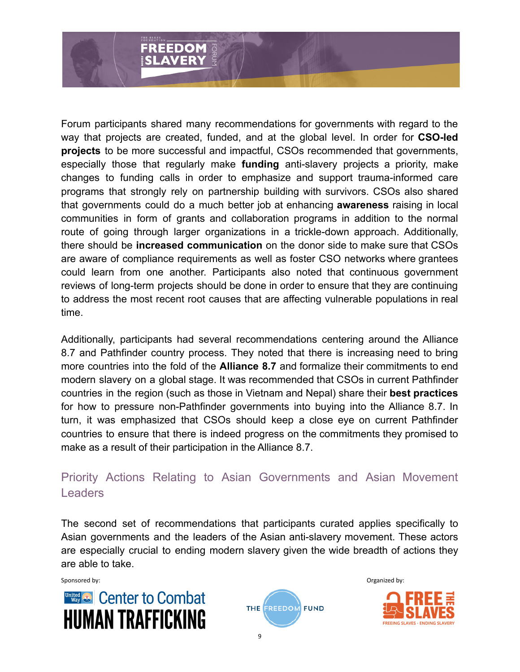

Forum participants shared many recommendations for governments with regard to the way that projects are created, funded, and at the global level. In order for **CSO-led projects** to be more successful and impactful, CSOs recommended that governments, especially those that regularly make **funding** anti-slavery projects a priority, make changes to funding calls in order to emphasize and support trauma-informed care programs that strongly rely on partnership building with survivors. CSOs also shared that governments could do a much better job at enhancing **awareness** raising in local communities in form of grants and collaboration programs in addition to the normal route of going through larger organizations in a trickle-down approach. Additionally, there should be **increased communication** on the donor side to make sure that CSOs are aware of compliance requirements as well as foster CSO networks where grantees could learn from one another. Participants also noted that continuous government reviews of long-term projects should be done in order to ensure that they are continuing to address the most recent root causes that are affecting vulnerable populations in real time.

Additionally, participants had several recommendations centering around the Alliance 8.7 and Pathfinder country process. They noted that there is increasing need to bring more countries into the fold of the **Alliance 8.7** and formalize their commitments to end modern slavery on a global stage. It was recommended that CSOs in current Pathfinder countries in the region (such as those in Vietnam and Nepal) share their **best practices** for how to pressure non-Pathfinder governments into buying into the Alliance 8.7. In turn, it was emphasized that CSOs should keep a close eye on current Pathfinder countries to ensure that there is indeed progress on the commitments they promised to make as a result of their participation in the Alliance 8.7.

#### Priority Actions Relating to Asian Governments and Asian Movement Leaders

The second set of recommendations that participants curated applies specifically to Asian governments and the leaders of the Asian anti-slavery movement. These actors are especially crucial to ending modern slavery given the wide breadth of actions they are able to take.





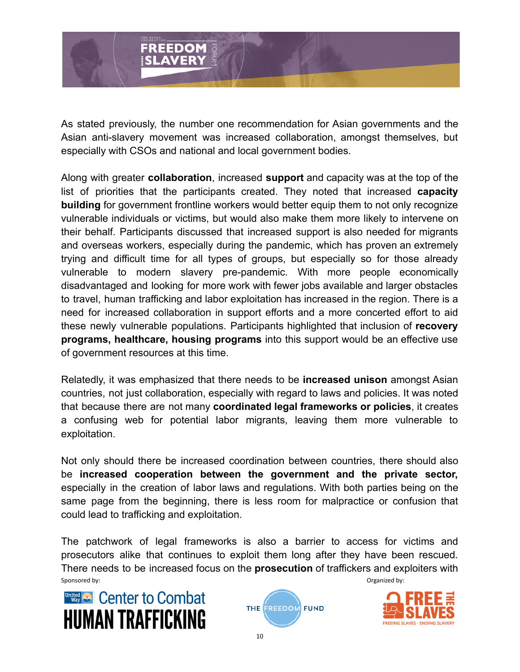

As stated previously, the number one recommendation for Asian governments and the Asian anti-slavery movement was increased collaboration, amongst themselves, but especially with CSOs and national and local government bodies.

Along with greater **collaboration**, increased **support** and capacity was at the top of the list of priorities that the participants created. They noted that increased **capacity building** for government frontline workers would better equip them to not only recognize vulnerable individuals or victims, but would also make them more likely to intervene on their behalf. Participants discussed that increased support is also needed for migrants and overseas workers, especially during the pandemic, which has proven an extremely trying and difficult time for all types of groups, but especially so for those already vulnerable to modern slavery pre-pandemic. With more people economically disadvantaged and looking for more work with fewer jobs available and larger obstacles to travel, human trafficking and labor exploitation has increased in the region. There is a need for increased collaboration in support efforts and a more concerted effort to aid these newly vulnerable populations. Participants highlighted that inclusion of **recovery programs, healthcare, housing programs** into this support would be an effective use of government resources at this time.

Relatedly, it was emphasized that there needs to be **increased unison** amongst Asian countries, not just collaboration, especially with regard to laws and policies. It was noted that because there are not many **coordinated legal frameworks or policies**, it creates a confusing web for potential labor migrants, leaving them more vulnerable to exploitation.

Not only should there be increased coordination between countries, there should also be **increased cooperation between the government and the private sector,** especially in the creation of labor laws and regulations. With both parties being on the same page from the beginning, there is less room for malpractice or confusion that could lead to trafficking and exploitation.

The patchwork of legal frameworks is also a barrier to access for victims and prosecutors alike that continues to exploit them long after they have been rescued. There needs to be increased focus on the **prosecution** of traffickers and exploiters with Sponsored by: Sponsored by: Sponsored by: Sponsored by: Sponsored by: Sponsored by: Sponsored by: Sponsored by: Sponsored by: Sponsored by: Sponsored by: Sponsored by: Sponsored by: Sponsored by: Sponsored by: Sponsored by

10







**FREEING SLAVES · ENDING SLAVER**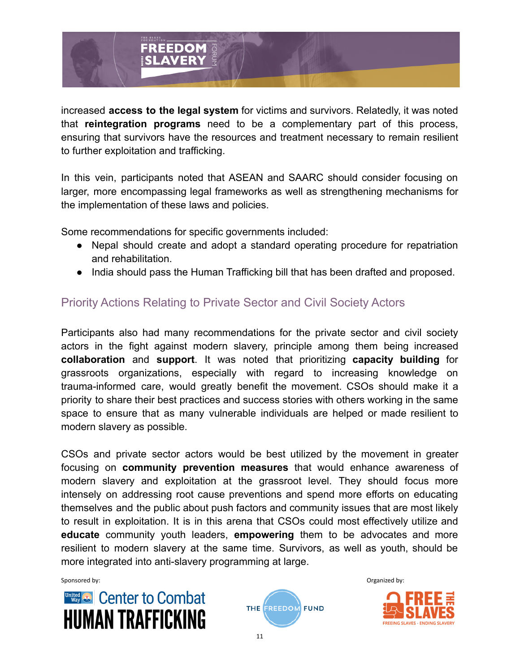

increased **access to the legal system** for victims and survivors. Relatedly, it was noted that **reintegration programs** need to be a complementary part of this process, ensuring that survivors have the resources and treatment necessary to remain resilient to further exploitation and trafficking.

In this vein, participants noted that ASEAN and SAARC should consider focusing on larger, more encompassing legal frameworks as well as strengthening mechanisms for the implementation of these laws and policies.

Some recommendations for specific governments included:

- Nepal should create and adopt a standard operating procedure for repatriation and rehabilitation.
- India should pass the Human Trafficking bill that has been drafted and proposed.

#### Priority Actions Relating to Private Sector and Civil Society Actors

Participants also had many recommendations for the private sector and civil society actors in the fight against modern slavery, principle among them being increased **collaboration** and **support**. It was noted that prioritizing **capacity building** for grassroots organizations, especially with regard to increasing knowledge on trauma-informed care, would greatly benefit the movement. CSOs should make it a priority to share their best practices and success stories with others working in the same space to ensure that as many vulnerable individuals are helped or made resilient to modern slavery as possible.

CSOs and private sector actors would be best utilized by the movement in greater focusing on **community prevention measures** that would enhance awareness of modern slavery and exploitation at the grassroot level. They should focus more intensely on addressing root cause preventions and spend more efforts on educating themselves and the public about push factors and community issues that are most likely to result in exploitation. It is in this arena that CSOs could most effectively utilize and **educate** community youth leaders, **empowering** them to be advocates and more resilient to modern slavery at the same time. Survivors, as well as youth, should be more integrated into anti-slavery programming at large.





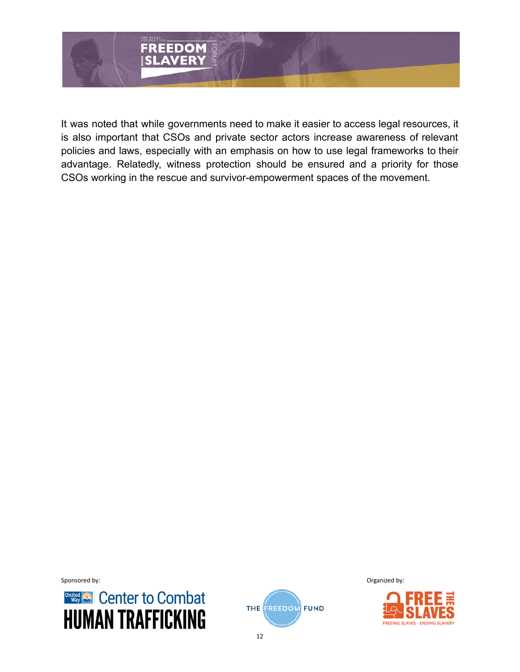

It was noted that while governments need to make it easier to access legal resources, it is also important that CSOs and private sector actors increase awareness of relevant policies and laws, especially with an emphasis on how to use legal frameworks to their advantage. Relatedly, witness protection should be ensured and a priority for those CSOs working in the rescue and survivor-empowerment spaces of the movement.





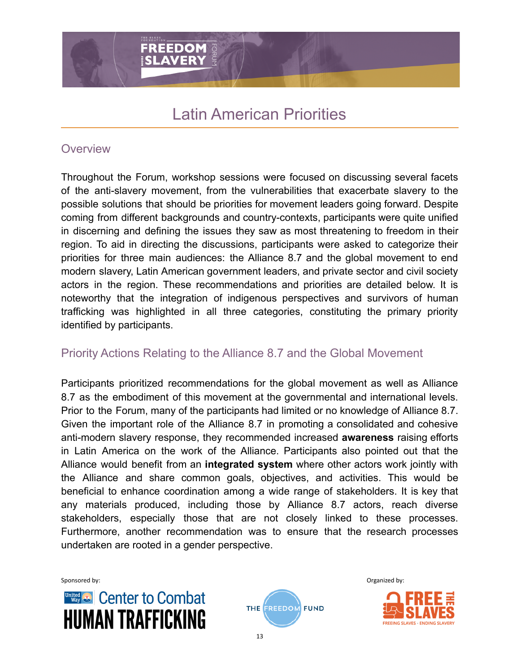**FREEDOM SLAVERY** 

#### **Overview**

Throughout the Forum, workshop sessions were focused on discussing several facets of the anti-slavery movement, from the vulnerabilities that exacerbate slavery to the possible solutions that should be priorities for movement leaders going forward. Despite coming from different backgrounds and country-contexts, participants were quite unified in discerning and defining the issues they saw as most threatening to freedom in their region. To aid in directing the discussions, participants were asked to categorize their priorities for three main audiences: the Alliance 8.7 and the global movement to end modern slavery, Latin American government leaders, and private sector and civil society actors in the region. These recommendations and priorities are detailed below. It is noteworthy that the integration of indigenous perspectives and survivors of human trafficking was highlighted in all three categories, constituting the primary priority identified by participants.

#### Priority Actions Relating to the Alliance 8.7 and the Global Movement

Participants prioritized recommendations for the global movement as well as Alliance 8.7 as the embodiment of this movement at the governmental and international levels. Prior to the Forum, many of the participants had limited or no knowledge of Alliance 8.7. Given the important role of the Alliance 8.7 in promoting a consolidated and cohesive anti-modern slavery response, they recommended increased **awareness** raising efforts in Latin America on the work of the Alliance. Participants also pointed out that the Alliance would benefit from an **integrated system** where other actors work jointly with the Alliance and share common goals, objectives, and activities. This would be beneficial to enhance coordination among a wide range of stakeholders. It is key that any materials produced, including those by Alliance 8.7 actors, reach diverse stakeholders, especially those that are not closely linked to these processes. Furthermore, another recommendation was to ensure that the research processes undertaken are rooted in a gender perspective.





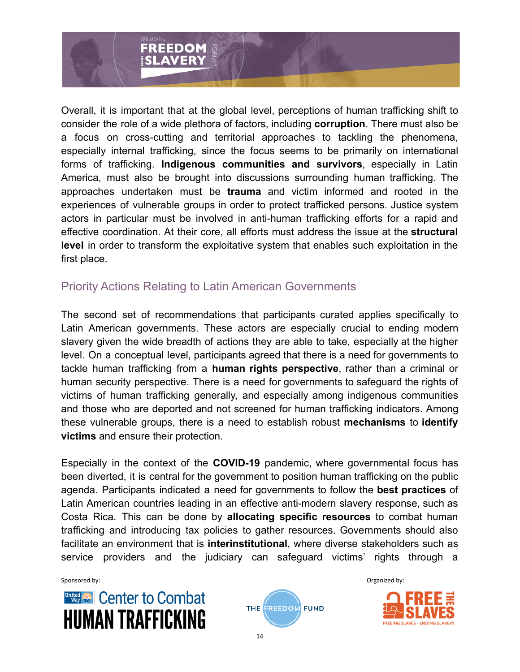

Overall, it is important that at the global level, perceptions of human trafficking shift to consider the role of a wide plethora of factors, including **corruption**. There must also be a focus on cross-cutting and territorial approaches to tackling the phenomena, especially internal trafficking, since the focus seems to be primarily on international forms of trafficking. **Indigenous communities and survivors**, especially in Latin America, must also be brought into discussions surrounding human trafficking. The approaches undertaken must be **trauma** and victim informed and rooted in the experiences of vulnerable groups in order to protect trafficked persons. Justice system actors in particular must be involved in anti-human trafficking efforts for a rapid and effective coordination. At their core, all efforts must address the issue at the **structural level** in order to transform the exploitative system that enables such exploitation in the first place.

#### Priority Actions Relating to Latin American Governments

The second set of recommendations that participants curated applies specifically to Latin American governments. These actors are especially crucial to ending modern slavery given the wide breadth of actions they are able to take, especially at the higher level. On a conceptual level, participants agreed that there is a need for governments to tackle human trafficking from a **human rights perspective**, rather than a criminal or human security perspective. There is a need for governments to safeguard the rights of victims of human trafficking generally, and especially among indigenous communities and those who are deported and not screened for human trafficking indicators. Among these vulnerable groups, there is a need to establish robust **mechanisms** to **identify victims** and ensure their protection.

Especially in the context of the **COVID-19** pandemic, where governmental focus has been diverted, it is central for the government to position human trafficking on the public agenda. Participants indicated a need for governments to follow the **best practices** of Latin American countries leading in an effective anti-modern slavery response, such as Costa Rica. This can be done by **allocating specific resources** to combat human trafficking and introducing tax policies to gather resources. Governments should also facilitate an environment that is **interinstitutional**, where diverse stakeholders such as service providers and the judiciary can safeguard victims' rights through a





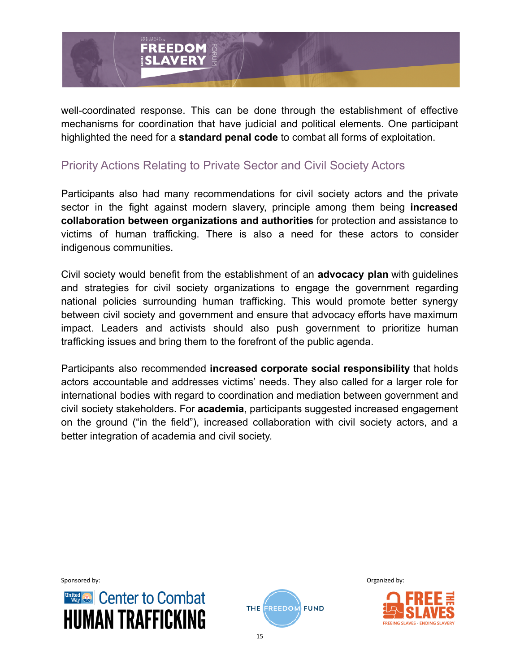

well-coordinated response. This can be done through the establishment of effective mechanisms for coordination that have judicial and political elements. One participant highlighted the need for a **standard penal code** to combat all forms of exploitation.

#### Priority Actions Relating to Private Sector and Civil Society Actors

Participants also had many recommendations for civil society actors and the private sector in the fight against modern slavery, principle among them being **increased collaboration between organizations and authorities** for protection and assistance to victims of human trafficking. There is also a need for these actors to consider indigenous communities.

Civil society would benefit from the establishment of an **advocacy plan** with guidelines and strategies for civil society organizations to engage the government regarding national policies surrounding human trafficking. This would promote better synergy between civil society and government and ensure that advocacy efforts have maximum impact. Leaders and activists should also push government to prioritize human trafficking issues and bring them to the forefront of the public agenda.

Participants also recommended **increased corporate social responsibility** that holds actors accountable and addresses victims' needs. They also called for a larger role for international bodies with regard to coordination and mediation between government and civil society stakeholders. For **academia**, participants suggested increased engagement on the ground ("in the field"), increased collaboration with civil society actors, and a better integration of academia and civil society.





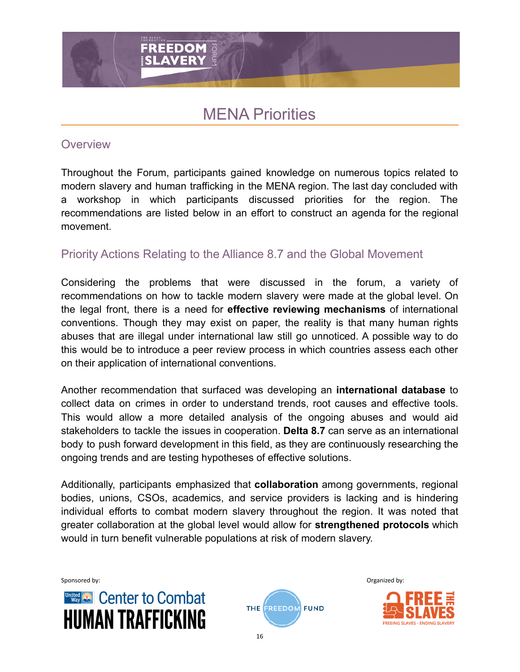# MENA Priorities

#### **Overview**

Throughout the Forum, participants gained knowledge on numerous topics related to modern slavery and human trafficking in the MENA region. The last day concluded with a workshop in which participants discussed priorities for the region. The recommendations are listed below in an effort to construct an agenda for the regional movement.

#### Priority Actions Relating to the Alliance 8.7 and the Global Movement

Considering the problems that were discussed in the forum, a variety of recommendations on how to tackle modern slavery were made at the global level. On the legal front, there is a need for **effective reviewing mechanisms** of international conventions. Though they may exist on paper, the reality is that many human rights abuses that are illegal under international law still go unnoticed. A possible way to do this would be to introduce a peer review process in which countries assess each other on their application of international conventions.

Another recommendation that surfaced was developing an **international database** to collect data on crimes in order to understand trends, root causes and effective tools. This would allow a more detailed analysis of the ongoing abuses and would aid stakeholders to tackle the issues in cooperation. **Delta 8.7** can serve as an international body to push forward development in this field, as they are continuously researching the ongoing trends and are testing hypotheses of effective solutions.

Additionally, participants emphasized that **collaboration** among governments, regional bodies, unions, CSOs, academics, and service providers is lacking and is hindering individual efforts to combat modern slavery throughout the region. It was noted that greater collaboration at the global level would allow for **strengthened protocols** which would in turn benefit vulnerable populations at risk of modern slavery.





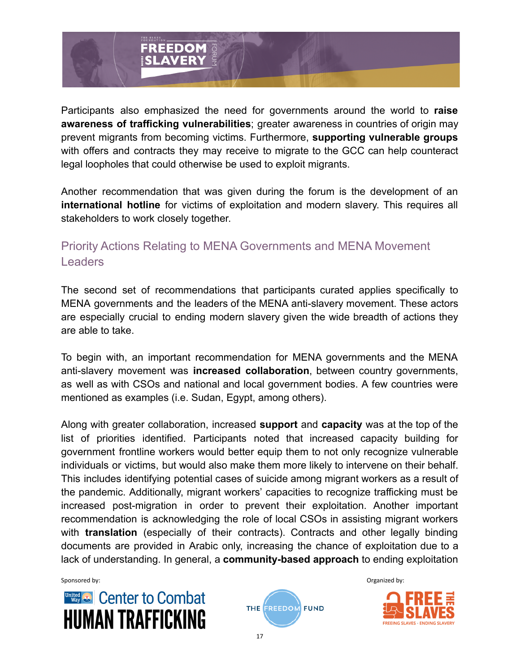

Participants also emphasized the need for governments around the world to **raise awareness of trafficking vulnerabilities**; greater awareness in countries of origin may prevent migrants from becoming victims. Furthermore, **supporting vulnerable groups** with offers and contracts they may receive to migrate to the GCC can help counteract legal loopholes that could otherwise be used to exploit migrants.

Another recommendation that was given during the forum is the development of an **international hotline** for victims of exploitation and modern slavery. This requires all stakeholders to work closely together.

# Priority Actions Relating to MENA Governments and MENA Movement Leaders

The second set of recommendations that participants curated applies specifically to MENA governments and the leaders of the MENA anti-slavery movement. These actors are especially crucial to ending modern slavery given the wide breadth of actions they are able to take.

To begin with, an important recommendation for MENA governments and the MENA anti-slavery movement was **increased collaboration**, between country governments, as well as with CSOs and national and local government bodies. A few countries were mentioned as examples (i.e. Sudan, Egypt, among others).

Along with greater collaboration, increased **support** and **capacity** was at the top of the list of priorities identified. Participants noted that increased capacity building for government frontline workers would better equip them to not only recognize vulnerable individuals or victims, but would also make them more likely to intervene on their behalf. This includes identifying potential cases of suicide among migrant workers as a result of the pandemic. Additionally, migrant workers' capacities to recognize trafficking must be increased post-migration in order to prevent their exploitation. Another important recommendation is acknowledging the role of local CSOs in assisting migrant workers with **translation** (especially of their contracts). Contracts and other legally binding documents are provided in Arabic only, increasing the chance of exploitation due to a lack of understanding. In general, a **community-based approach** to ending exploitation





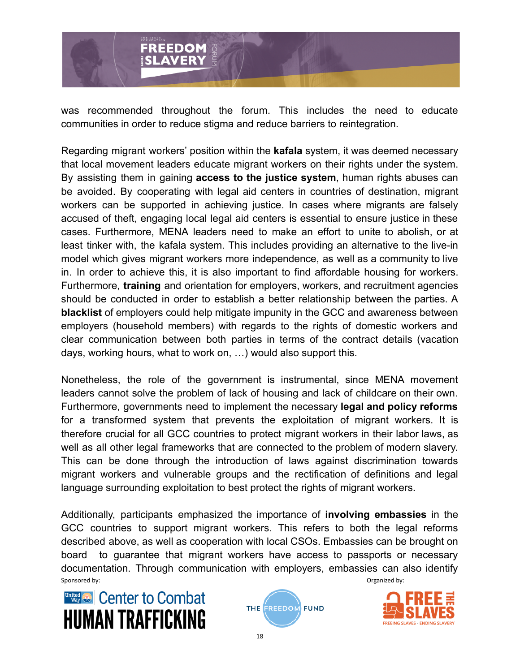

was recommended throughout the forum. This includes the need to educate communities in order to reduce stigma and reduce barriers to reintegration.

Regarding migrant workers' position within the **kafala** system, it was deemed necessary that local movement leaders educate migrant workers on their rights under the system. By assisting them in gaining **access to the justice system**, human rights abuses can be avoided. By cooperating with legal aid centers in countries of destination, migrant workers can be supported in achieving justice. In cases where migrants are falsely accused of theft, engaging local legal aid centers is essential to ensure justice in these cases. Furthermore, MENA leaders need to make an effort to unite to abolish, or at least tinker with, the kafala system. This includes providing an alternative to the live-in model which gives migrant workers more independence, as well as a community to live in. In order to achieve this, it is also important to find affordable housing for workers. Furthermore, **training** and orientation for employers, workers, and recruitment agencies should be conducted in order to establish a better relationship between the parties. A **blacklist** of employers could help mitigate impunity in the GCC and awareness between employers (household members) with regards to the rights of domestic workers and clear communication between both parties in terms of the contract details (vacation days, working hours, what to work on, …) would also support this.

Nonetheless, the role of the government is instrumental, since MENA movement leaders cannot solve the problem of lack of housing and lack of childcare on their own. Furthermore, governments need to implement the necessary **legal and policy reforms** for a transformed system that prevents the exploitation of migrant workers. It is therefore crucial for all GCC countries to protect migrant workers in their labor laws, as well as all other legal frameworks that are connected to the problem of modern slavery. This can be done through the introduction of laws against discrimination towards migrant workers and vulnerable groups and the rectification of definitions and legal language surrounding exploitation to best protect the rights of migrant workers.

Additionally, participants emphasized the importance of **involving embassies** in the GCC countries to support migrant workers. This refers to both the legal reforms described above, as well as cooperation with local CSOs. Embassies can be brought on board to guarantee that migrant workers have access to passports or necessary documentation. Through communication with employers, embassies can also identify Sponsored by: Sponsored by: Sponsored by: Sponsored by: Sponsored by: Sponsored by: Sponsored by: Sponsored by: Sponsored by: Sponsored by: Sponsored by: Sponsored by: Sponsored by: Sponsored by: Sponsored by: Sponsored by





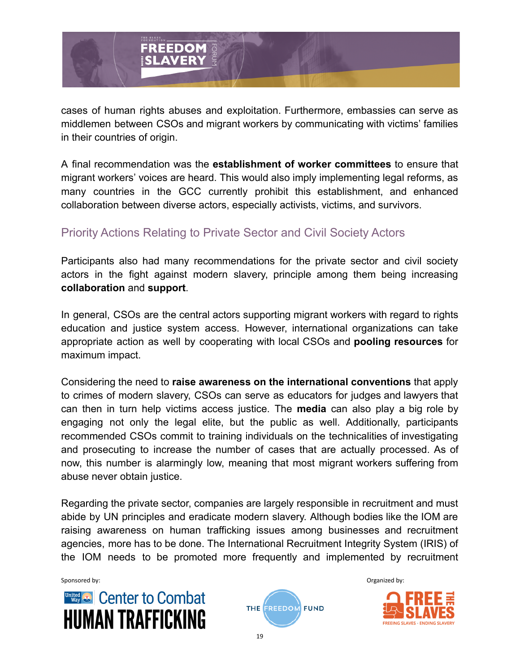

cases of human rights abuses and exploitation. Furthermore, embassies can serve as middlemen between CSOs and migrant workers by communicating with victims' families in their countries of origin.

A final recommendation was the **establishment of worker committees** to ensure that migrant workers' voices are heard. This would also imply implementing legal reforms, as many countries in the GCC currently prohibit this establishment, and enhanced collaboration between diverse actors, especially activists, victims, and survivors.

#### Priority Actions Relating to Private Sector and Civil Society Actors

Participants also had many recommendations for the private sector and civil society actors in the fight against modern slavery, principle among them being increasing **collaboration** and **support**.

In general, CSOs are the central actors supporting migrant workers with regard to rights education and justice system access. However, international organizations can take appropriate action as well by cooperating with local CSOs and **pooling resources** for maximum impact.

Considering the need to **raise awareness on the international conventions** that apply to crimes of modern slavery, CSOs can serve as educators for judges and lawyers that can then in turn help victims access justice. The **media** can also play a big role by engaging not only the legal elite, but the public as well. Additionally, participants recommended CSOs commit to training individuals on the technicalities of investigating and prosecuting to increase the number of cases that are actually processed. As of now, this number is alarmingly low, meaning that most migrant workers suffering from abuse never obtain justice.

Regarding the private sector, companies are largely responsible in recruitment and must abide by UN principles and eradicate modern slavery. Although bodies like the IOM are raising awareness on human trafficking issues among businesses and recruitment agencies, more has to be done. The International Recruitment Integrity System (IRIS) of the IOM needs to be promoted more frequently and implemented by recruitment





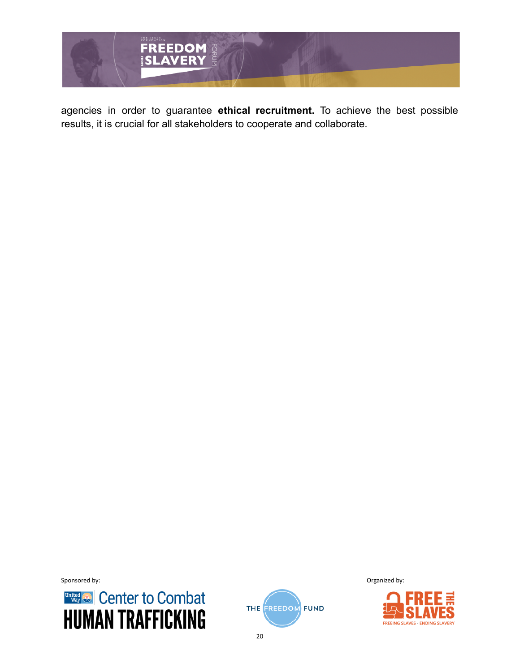

agencies in order to guarantee **ethical recruitment.** To achieve the best possible results, it is crucial for all stakeholders to cooperate and collaborate.

Sponsored by: Conserver and the sponsored by: Conserver and the sponsored by: Conserver and the sponsored by:





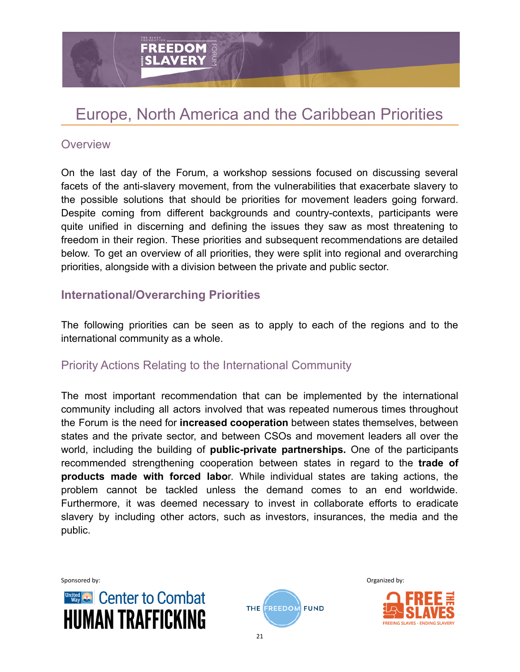# Europe, North America and the Caribbean Priorities

#### **Overview**

On the last day of the Forum, a workshop sessions focused on discussing several facets of the anti-slavery movement, from the vulnerabilities that exacerbate slavery to the possible solutions that should be priorities for movement leaders going forward. Despite coming from different backgrounds and country-contexts, participants were quite unified in discerning and defining the issues they saw as most threatening to freedom in their region. These priorities and subsequent recommendations are detailed below. To get an overview of all priorities, they were split into regional and overarching priorities, alongside with a division between the private and public sector.

#### **International/Overarching Priorities**

**FREEDOM** *SLAVERY* 

The following priorities can be seen as to apply to each of the regions and to the international community as a whole.

#### Priority Actions Relating to the International Community

The most important recommendation that can be implemented by the international community including all actors involved that was repeated numerous times throughout the Forum is the need for **increased cooperation** between states themselves, between states and the private sector, and between CSOs and movement leaders all over the world, including the building of **public-private partnerships.** One of the participants recommended strengthening cooperation between states in regard to the **trade of products made with forced labo**r. While individual states are taking actions, the problem cannot be tackled unless the demand comes to an end worldwide. Furthermore, it was deemed necessary to invest in collaborate efforts to eradicate slavery by including other actors, such as investors, insurances, the media and the public.





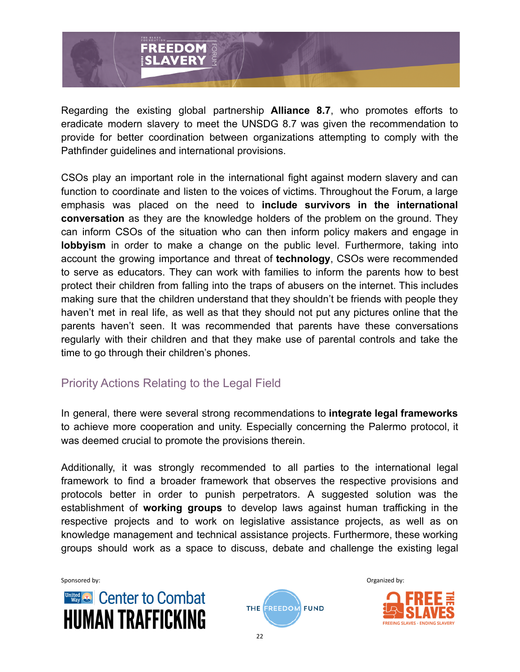

Regarding the existing global partnership **Alliance 8.7**, who promotes efforts to eradicate modern slavery to meet the UNSDG 8.7 was given the recommendation to provide for better coordination between organizations attempting to comply with the Pathfinder guidelines and international provisions.

CSOs play an important role in the international fight against modern slavery and can function to coordinate and listen to the voices of victims. Throughout the Forum, a large emphasis was placed on the need to **include survivors in the international conversation** as they are the knowledge holders of the problem on the ground. They can inform CSOs of the situation who can then inform policy makers and engage in **lobbyism** in order to make a change on the public level. Furthermore, taking into account the growing importance and threat of **technology**, CSOs were recommended to serve as educators. They can work with families to inform the parents how to best protect their children from falling into the traps of abusers on the internet. This includes making sure that the children understand that they shouldn't be friends with people they haven't met in real life, as well as that they should not put any pictures online that the parents haven't seen. It was recommended that parents have these conversations regularly with their children and that they make use of parental controls and take the time to go through their children's phones.

# Priority Actions Relating to the Legal Field

In general, there were several strong recommendations to **integrate legal frameworks** to achieve more cooperation and unity. Especially concerning the Palermo protocol, it was deemed crucial to promote the provisions therein.

Additionally, it was strongly recommended to all parties to the international legal framework to find a broader framework that observes the respective provisions and protocols better in order to punish perpetrators. A suggested solution was the establishment of **working groups** to develop laws against human trafficking in the respective projects and to work on legislative assistance projects, as well as on knowledge management and technical assistance projects. Furthermore, these working groups should work as a space to discuss, debate and challenge the existing legal





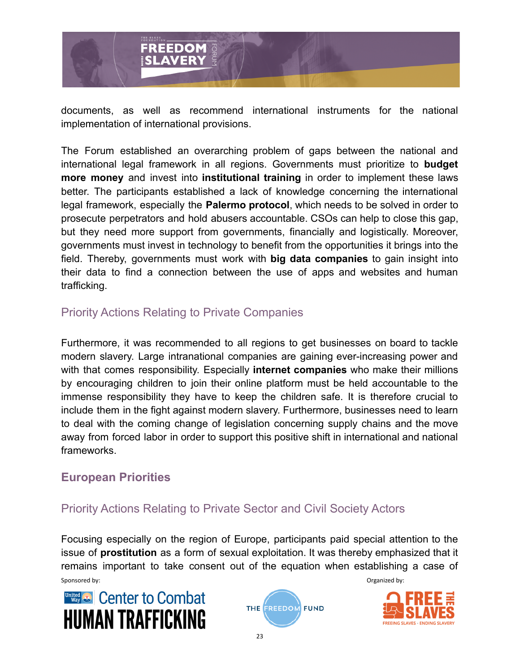

documents, as well as recommend international instruments for the national implementation of international provisions.

The Forum established an overarching problem of gaps between the national and international legal framework in all regions. Governments must prioritize to **budget more money** and invest into **institutional training** in order to implement these laws better. The participants established a lack of knowledge concerning the international legal framework, especially the **Palermo protocol**, which needs to be solved in order to prosecute perpetrators and hold abusers accountable. CSOs can help to close this gap, but they need more support from governments, financially and logistically. Moreover, governments must invest in technology to benefit from the opportunities it brings into the field. Thereby, governments must work with **big data companies** to gain insight into their data to find a connection between the use of apps and websites and human trafficking.

# Priority Actions Relating to Private Companies

Furthermore, it was recommended to all regions to get businesses on board to tackle modern slavery. Large intranational companies are gaining ever-increasing power and with that comes responsibility. Especially **internet companies** who make their millions by encouraging children to join their online platform must be held accountable to the immense responsibility they have to keep the children safe. It is therefore crucial to include them in the fight against modern slavery. Furthermore, businesses need to learn to deal with the coming change of legislation concerning supply chains and the move away from forced labor in order to support this positive shift in international and national frameworks.

#### **European Priorities**

# Priority Actions Relating to Private Sector and Civil Society Actors

Focusing especially on the region of Europe, participants paid special attention to the issue of **prostitution** as a form of sexual exploitation. It was thereby emphasized that it remains important to take consent out of the equation when establishing a case of Sponsored by: Sponsored by: Sponsored by: Sponsored by: Sponsored by: Sponsored by: Sponsored by: Sponsored by: Sponsored by: Sponsored by: Sponsored by: Sponsored by: Sponsored by: Sponsored by: Sponsored by: Sponsored by





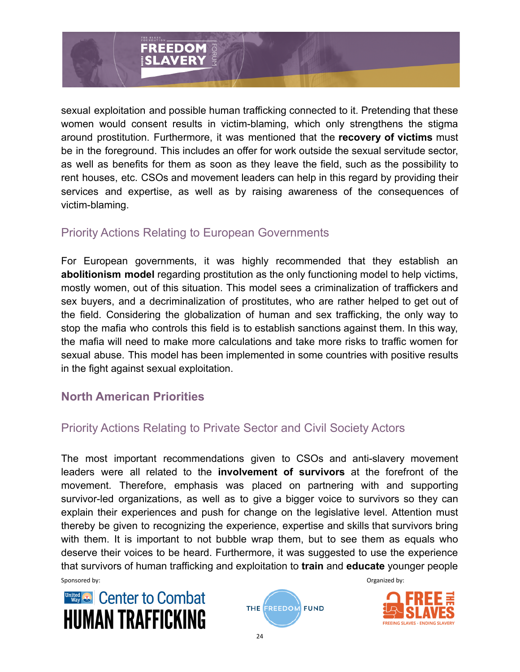

sexual exploitation and possible human trafficking connected to it. Pretending that these women would consent results in victim-blaming, which only strengthens the stigma around prostitution. Furthermore, it was mentioned that the **recovery of victims** must be in the foreground. This includes an offer for work outside the sexual servitude sector, as well as benefits for them as soon as they leave the field, such as the possibility to rent houses, etc. CSOs and movement leaders can help in this regard by providing their services and expertise, as well as by raising awareness of the consequences of victim-blaming.

#### Priority Actions Relating to European Governments

For European governments, it was highly recommended that they establish an **abolitionism model** regarding prostitution as the only functioning model to help victims, mostly women, out of this situation. This model sees a criminalization of traffickers and sex buyers, and a decriminalization of prostitutes, who are rather helped to get out of the field. Considering the globalization of human and sex trafficking, the only way to stop the mafia who controls this field is to establish sanctions against them. In this way, the mafia will need to make more calculations and take more risks to traffic women for sexual abuse. This model has been implemented in some countries with positive results in the fight against sexual exploitation.

# **North American Priorities**

# Priority Actions Relating to Private Sector and Civil Society Actors

The most important recommendations given to CSOs and anti-slavery movement leaders were all related to the **involvement of survivors** at the forefront of the movement. Therefore, emphasis was placed on partnering with and supporting survivor-led organizations, as well as to give a bigger voice to survivors so they can explain their experiences and push for change on the legislative level. Attention must thereby be given to recognizing the experience, expertise and skills that survivors bring with them. It is important to not bubble wrap them, but to see them as equals who deserve their voices to be heard. Furthermore, it was suggested to use the experience that survivors of human trafficking and exploitation to **train** and **educate** younger people





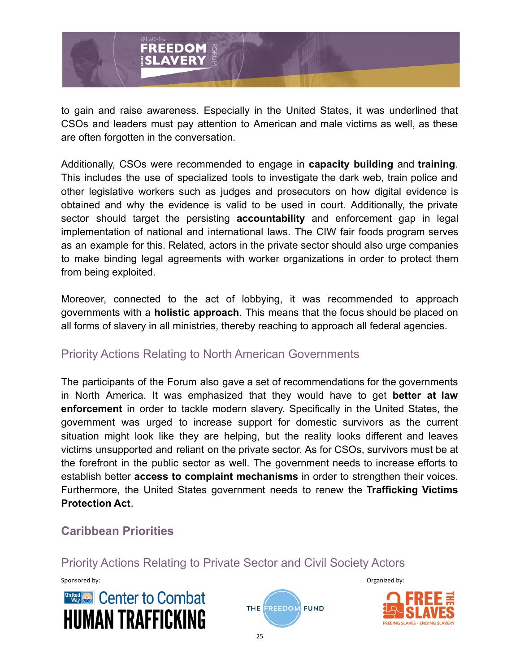

to gain and raise awareness. Especially in the United States, it was underlined that CSOs and leaders must pay attention to American and male victims as well, as these are often forgotten in the conversation.

Additionally, CSOs were recommended to engage in **capacity building** and **training**. This includes the use of specialized tools to investigate the dark web, train police and other legislative workers such as judges and prosecutors on how digital evidence is obtained and why the evidence is valid to be used in court. Additionally, the private sector should target the persisting **accountability** and enforcement gap in legal implementation of national and international laws. The CIW fair foods program serves as an example for this. Related, actors in the private sector should also urge companies to make binding legal agreements with worker organizations in order to protect them from being exploited.

Moreover, connected to the act of lobbying, it was recommended to approach governments with a **holistic approach**. This means that the focus should be placed on all forms of slavery in all ministries, thereby reaching to approach all federal agencies.

# Priority Actions Relating to North American Governments

The participants of the Forum also gave a set of recommendations for the governments in North America. It was emphasized that they would have to get **better at law enforcement** in order to tackle modern slavery. Specifically in the United States, the government was urged to increase support for domestic survivors as the current situation might look like they are helping, but the reality looks different and leaves victims unsupported and reliant on the private sector. As for CSOs, survivors must be at the forefront in the public sector as well. The government needs to increase efforts to establish better **access to complaint mechanisms** in order to strengthen their voices. Furthermore, the United States government needs to renew the **Trafficking Victims Protection Act**.

# **Caribbean Priorities**

Priority Actions Relating to Private Sector and Civil Society Actors





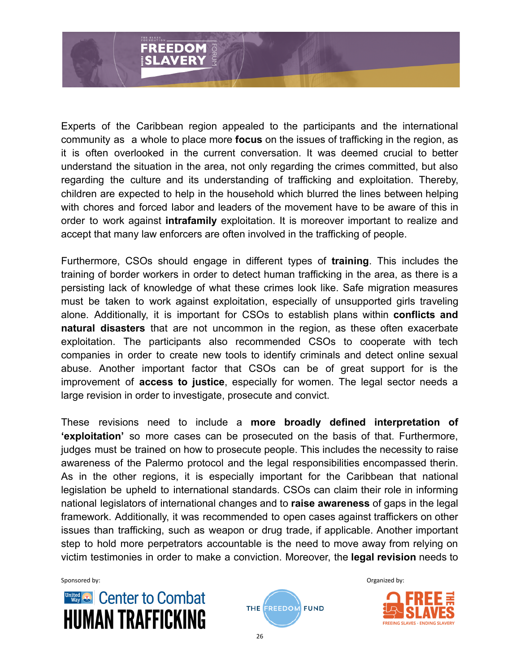

Experts of the Caribbean region appealed to the participants and the international community as a whole to place more **focus** on the issues of trafficking in the region, as it is often overlooked in the current conversation. It was deemed crucial to better understand the situation in the area, not only regarding the crimes committed, but also regarding the culture and its understanding of trafficking and exploitation. Thereby, children are expected to help in the household which blurred the lines between helping with chores and forced labor and leaders of the movement have to be aware of this in order to work against **intrafamily** exploitation. It is moreover important to realize and accept that many law enforcers are often involved in the trafficking of people.

Furthermore, CSOs should engage in different types of **training**. This includes the training of border workers in order to detect human trafficking in the area, as there is a persisting lack of knowledge of what these crimes look like. Safe migration measures must be taken to work against exploitation, especially of unsupported girls traveling alone. Additionally, it is important for CSOs to establish plans within **conflicts and natural disasters** that are not uncommon in the region, as these often exacerbate exploitation. The participants also recommended CSOs to cooperate with tech companies in order to create new tools to identify criminals and detect online sexual abuse. Another important factor that CSOs can be of great support for is the improvement of **access to justice**, especially for women. The legal sector needs a large revision in order to investigate, prosecute and convict.

These revisions need to include a **more broadly defined interpretation of 'exploitation'** so more cases can be prosecuted on the basis of that. Furthermore, judges must be trained on how to prosecute people. This includes the necessity to raise awareness of the Palermo protocol and the legal responsibilities encompassed therin. As in the other regions, it is especially important for the Caribbean that national legislation be upheld to international standards. CSOs can claim their role in informing national legislators of international changes and to **raise awareness** of gaps in the legal framework. Additionally, it was recommended to open cases against traffickers on other issues than trafficking, such as weapon or drug trade, if applicable. Another important step to hold more perpetrators accountable is the need to move away from relying on victim testimonies in order to make a conviction. Moreover, the **legal revision** needs to